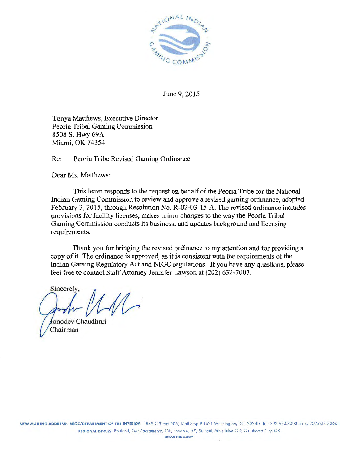

June 9, 2015

Tonya Matthews, Executive Director Peoria Tribal Gaming Commission 8508 S. Hwy 69A Miami, OK 74354

Re: Peoria Tribe Revised Gaming Ordinance

Dear Ms. Matthews:

Tiris letter responds to the request on behalf of the Peoria Tribe for the National Indian Gaming Commission to review and approve a revised gaming ordinance, adopted February 3, 2015, through Resolution No. R-02-03-15-A. The revised ordinance includes provisions for facility licenses, makes minor changes to the way the Peoria Tribal Gaming Commission conducts its business, and updates background and licensing requirements.

Thank you for bringing the revised ordinance to my attention and for providing a copy of it. The ordinance is approved, as it is consistent with the requirements of the Indian Gaming Regulatory Act and NIGC regulations. If you have any questions, please feel free to contact Staff Attorney Jennifer Lawson at (202) 632· 7003.

Sincerely,

onodev Chaudhuri Chairman

WWW.NIGC.GOV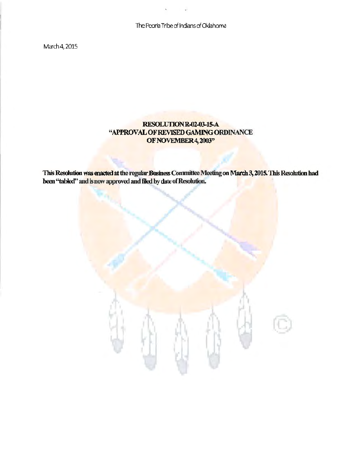The Peoria Tribe of Indians of Oklahoma

March 4, 2015

# RESOLUTIONR-02-03-15-A "APPROVAL OF REVISED GAMING ORDINANCE OF NOVEMBER 4, 2003"

This Resolution was enacted at the regular Business Committee Meeting on March 3, 2015. This Resolution had been "tabled" and is now approved and filed by date of Resolution.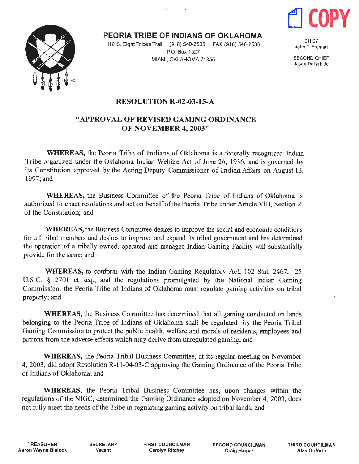



PEORIA TRIBE OF INDIANS OF OKLAHOMA

 $\mathbf{r}$ 

118 S. Eight Tribes Trail (918) 540-2535 FAX (918) 540-2538 P.O. Box 1527 MIAMI, OKLAHOMA 74355

CHIEF John P. Froman

SECOND CHIEF Jason Dollarhide

## RESOLUTION R-02-03-15-A

 $\mathbf{r}$ 

# "APPROVAL OF REVISED GAMING ORDINANCE OF NOVEMBER 4, 2003"

WHEREAS, the Peoria Tribe of Indians of Oklahoma is a federally recognized Indian Tribe organized under the Oklahoma Indian Welfare Act of June 26, 1936, and is governed by its Constitution approved by the Acting Deputy Commissioner of Indian Affairs on August 13, l997;and

WHEREAS, the Business Committee of the Peoria Tribe of Indians of Oklahoma is authorized to enact resolutions and act on behalf of the Peoria Tribe under Article VIII, Section 2, of the Constitution; and

WHEREAS, the Business Committee desires to improve the social and economic conditions for all tribal members and desires to improve and expand its tribal government and has determined the operation of a tribally owned, operated and managed Indian Gaming Facility will substantially provide for the same; and

WHEREAS, to conform with the Indian Gaming Regulatory Act, 102 Stat. 2467, 25 U.S.C. § 2701 et seq., and the regulations promulgated by the National Indian Gaming Commission, the Peoria Tribe of Indians of Oklahoma must regulate gaming activities on tribal property; and

WHEREAS, the Business Committee has determined that all gaming conducted on lands belonging to the Peoria Tribe of Indians of Oklahoma shall be regulated by the Peoria Tribal Gaming Commission to protect the public health, welfare and morals of residents, employees and patrons from the adverse effects which may derive from unregulated gaming; and

WHEREAS, the Peoria Tribal Business Committee, at its regular meeting on November 4, 2003, did adopt Resolution R-11-04-03-C approving the Gaming Ordinance of the Peoria Tribe of Indians of Oklahoma; and

WHEREAS, the Peoria Tribal Business Committee has, upon changes within the regulations of the NIGC, determined the Gaming.Ordinance adopted on November 4, 2003, does not fully meet the needs of the Tribe in regulating gaming activity on tribal lands; and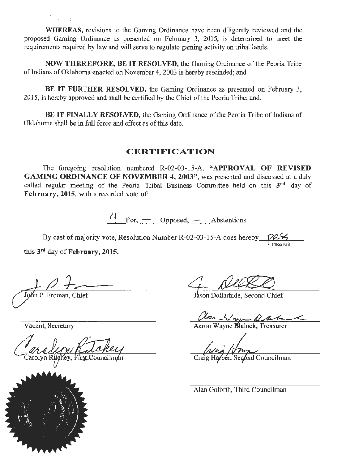WHEREAS, revisions to the Gaming Ordinance have been diligently reviewed and the proposed Gaming Ordinance as presented on February 3, 2015, is determined to meet the requirements required by law and will serve to regulate gaming activity on tribal lands.

NOW THEREFORE, BE IT RESOLVED, the Gaming Ordinance of the Peoria Tribe of Indians of Oklahoma enacted on November 4, 2003 is hereby rescinded; and

BE IT FURTHER RESOLVED, the Gaming Ordinance as presented on February 3, 2015, is hereby approved and shall be certified by the Chief of the Peoria Tribe; and,

BE IT FINALLY RESOLVED, the Gaming Ordinance of the Peoria Tribe of Indians of Oklahoma shall be in full force and effect as of this date.

#### CERTIFICATION

The foregoing resolution numbered R-02-03-15-A, "APPROVAL OF REVISED GAMING ORDINANCE OF NOVEMBER 4, 2003", was presented and discussed at a duly called regular meeting of the Peoria Tribal Business Committee held on this  $3<sup>rd</sup>$  day of February, 2015, with a recorded vote of:

 $\frac{1}{2}$  For,  $\frac{1}{2}$  Opposed,  $\frac{1}{2}$  Abstentions

By cast of majority vote, Resolution Number R-02-03-15-A does hereby pass PasS!fait

this 3rd day of February, 2015.

Vacant, Secretary

olyn Ritchey, First C



John P. Froman, Chief Jason Dollarhide, Second Chief

Clan Wayne Black, Treasurer

o / / mm<br>per, Second Councilman

Alan Goforth, Third Councilman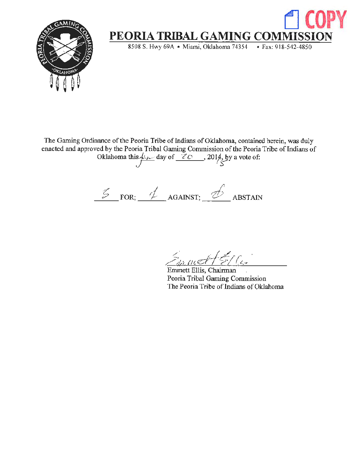

The Gaming Ordinance of the Peoria Tribe of Indians of Oklahoma, contained herein, was duly enacted and approved by the Peoria Tribal Gaming Commission of the Peoria Tribe of Indians of ed by the Peoria Tribal Gaming Commission of the Peoria<br>Oklahoma this  $\frac{\mu_{1}}{\sqrt{2\pi}}$  day of  $\frac{20}{\sqrt{2}}$ , 2014, by a vote of:

 $\frac{2}{\sqrt{2}}$  FOR;  $\frac{1}{\sqrt{2}}$  AGAINST;  $\frac{1}{\sqrt{2}}$  ABSTAIN

 $z_{n}$  mett  $\epsilon$ /C.

Emmett Ellis, Chairman Peoria Tribal Gaming Commission The Peoria Tribe of Indians of Oklahoma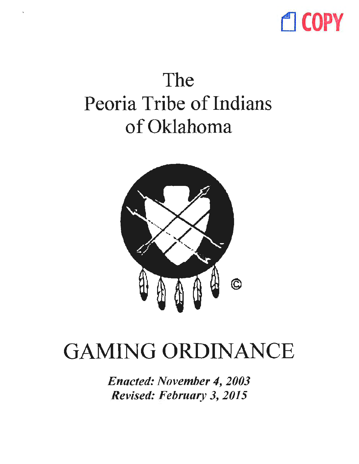

# The Peoria Tribe of Indians of Oklahoma



# GAMING ORDINANCE

*Enacted: November 4, 2003 Revised: February 3, 2015*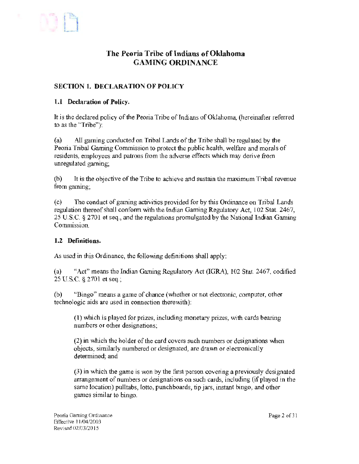

# The Peoria Tribe of Indians of Oklahoma GAMING ORDINANCE

## SECTION 1. DECLARATION OF POLICY

#### 1.1 Declaration of Policy.

It is the declared policy of the Peoria Tribe of Indians of Oklahoma, (hereinafter referred to as the "Tribe"):

(a) All gaming conducted on Tribal Lands of the Tribe shall be regulated by the Peoria Tribal Gaming Commission to protect the public health, welfare and morals of residents, employees and patrons from the adverse effects which may derive from unregulated gaming;

(b) It is the objective of the Tribe to achieve and sustain the maximum Tribal revenue from gaming;

(c) The conduct of gaming activities provided for by this Ordinance on Tribal Lands regulation thereof shall conform with the Indian Gaming Regulatory Act, I 02 Stat. 2467, 25 U.S.C. § 2701 et seq., and the regulations promulgated by the National Indian Gaming Commission.

#### 1.2 Definitions.

As used in this Ordinance, the following definitions shall apply:

(a) "Act" means the Indian Gaming Regulatory Act (IGRA), I 02 Stat. 2467, codified  $25$  U.S.C.  $\S 2701$  et seq.:

(b) "Bingo" means a game of chance (whether or not electronic, computer, other technologic aids are used in connection therewith):

 $(1)$  which is played for prizes, including monetary prizes, with cards bearing numbers or other designations;

(2) in which the holder of the card covers such numbers or designations when objects, similarly numbered or designated, are drawn or electronically determined; and

(3) in which the game is won by the first person covering a previously designated arrangement of numbers or designations on such cards, including (if played in the same location) pulltabs, lotto, punchboards, tip jars, instant bingo, and other games similar to bingo.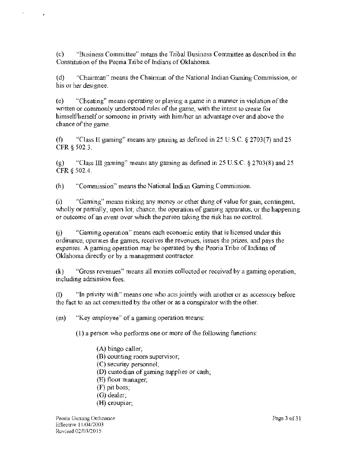(c) "Busjness Committee" means the Tribal Business Conunittee as described in the Constitution of the Peoria Tribe of Indians of Oklahoma.

(d) "Chairman" means the Chairman of the National Indian Gaming Commission, or his or her designee.

(e) "Cheating" means operating or playing a game in a manner in violation of the *written* or commonly understood rules of the game, with the intent to create for himself/herself or someone in privity with him/her an advantage over and above the chance of the game.

(f) "Class ll gaming" means any gaming as defined in 25 U.S.C. § 2703(7) and 25 CFR § 502.3.

(g) "Class III gaming" means any gaming as defined in 25 U.S.C.  $\S 2703(8)$  and 25 CFR § 502.4.

(h) "Commission" means the National Indian Gaming Commission.

(i) "Gaming" means risking any money or other thing of value for gain, contingent, wholly or partially, upon lot, chance, the operation of gaming apparatus, or the happening or outcome of an event over which the person taking the risk has no control.

(j) "Gaming operation" means each economic entity that is licensed under this ordinance, operates the games, receives the revenues, issues the prizes, and pays the expenses. A gaming operation may be operated by the Peoria Tribe of Indians of Oklahoma directly or by a management contractor.

(k) "Gross revenues" means all monies collected or received by a gaming operation, including admission fees.

(l) "In privity with" means one who acts jointly with another or as accessory before the fact to an act committed by the other or as a conspirator with the other.

(m) "Key employee" of a gaming operation means:

(1) a person who performs one or more of the following functions:

- (A) bingo caller; (B) counting room supervisor; (C) security personnel; (D) custodian of gaming supplies or cash;
- (E) floor manager;
- (F) pit boss;
- (G) dealer;
- (H) croupier;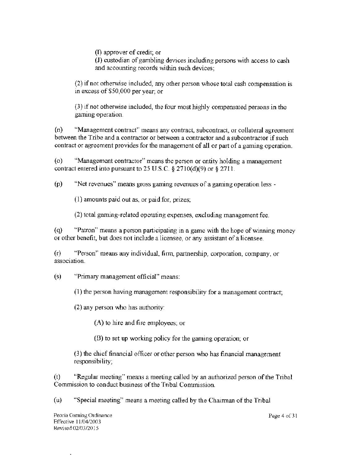(D approver of credit; or

(J) custodian of gambling devices including persons with access to cash and accounting records within such devices;

(2) if not otherwise included, any other person whose total cash compensation is in excess of \$50,000 per year; or

(3) if not otherwise included, the four most highly compensated persons in the gaming operation.

(n) "Management contract" means any contract, subcontract, or collateral agreement between the Tribe and a contractor or between a contractor and a subcontractor if such contract or agreement provides for the management of all or part of a gaming operation.

(o) "Management contractor" means the person or entity holding a management contract entered into pursuant to 25 U.S.C.  $\S 2710(d)(9)$  or  $\S 2711$ .

(p) "Net revenues" means gross gaming revenues of a gaming operation less -

 $(1)$  amounts paid out as, or paid for, prizes;

(2) total gaming-related operating expenses, excluding management fee.

( q) "Patron" means a person participating in a game with the hope of winning money or other benefit, but does not include a licensee, or any assistant of a licensee.

(r) "Person" means any individual, finu, partnership, corporation, company, or association.

(s) "Primary management official" means:

(1) the person having management responsibiiity for a management contract;

(2) any person who has authority:

(A) to hire and fire employees; or

(B) to set up working policy for the gaming operation; or

(3) the chief financial officer or other person who has financial management responsibility;

(t) "Regular meeting" means a meeting called by an authorized person of the Tribal Commission to conduct business of the Tribal Commission.

(u) "Special meeting" means a meeting called by the Chairman of the Tribal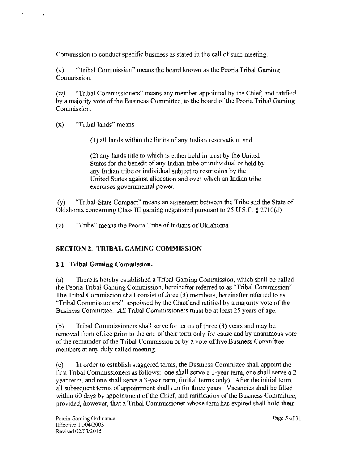Commission to conduct specific business as stated in the call of such meeting.

(v) "Tribal Commission" means the board known as the Peoria Tribal Gaming Commission.

(w) "Tribal Commissioners" means any member appointed by the Chief, and ratified by a majority vote of the Business Committee, to the board of the Peoria Tribal Gaming Commission.

(x) "Tribal lands" means

(1) all lands within the limits of any Indian reservation; and

(2) any lands title to which is either held in trust by the United States for the benefit of any Indian tribe or individual or held by any Indian tribe or individual subject to restriction by the United States against alienation and over which an Indian tribe exercises governmental power.

(y) "Tribal-State Compact" means an agreement between the Tribe and the State of Oklahoma concerning Class III gaming negotiated pursuant to 25 U.S.C. § 2710(d).

(z) "Tribe" means the Peoria Tribe of Indians of Oklahoma.

## SECTION 2. TRIBAL GAMING COMMISSION

## 2.1 Tribal Gaming Commission.

(a) There is hereby established a Tribal Gaming Commission, which shall be calJed the Peoria Tribal Gaming Commission, hereinafter referred to as "Tribal Commission". The Tribal Commission shall consist of three (3) members, hereinafter referred to as "Tribal Commissioners", appointed by the Chief and ratified by a majority vote of the Business Committee. All Tribal Commissioners must be at least 25 years of age.

(b) Tribal Commissioners shall serve for tenns of three (3) years and may be removed from office prior to the end of their term only for cause and by unanimous vote of the remainder of the Tribal Commission or by a vote of five Business Committee members at any duly called meeting.

(c) In order to establish staggered terms, the Business Committee shall appoint the first Tribal Commissioners as follows: one shall serve a I-year term, one shall serve a 2 year term, and one shall serve a 3-year term, (initial terms only). After the initial term, all subsequent terms of appointment shall run for three years. Vacancies shall be filled within 60 days by appointment of the Chief, and ratification of the Business Committee, provided, however, that a Tribal Commissioner whose term has expired shall hold their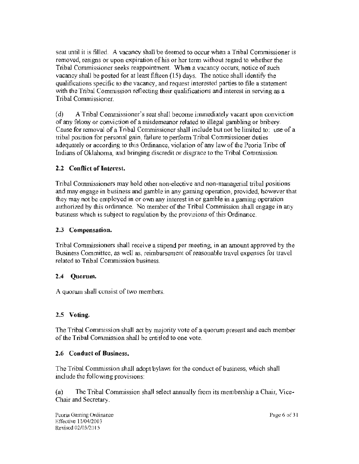seat until it is filled. A vacancy shall be deemed to occur when a Tribal Commissioner is removed, resigns or upon expiration of his or her term without regard to whether the Tribal Commissioner seeks reappointment. When a vacancy occurs, notice of such vacancy shall be posted for at least fifteen (15) days. The notice shall identify the qualifications specific to the vacancy, and request interested parties to file a statement with the Tribal Commission reflecting their qualifications and interest in serving as a Tribal Commissioner.

(d) A Tribal Commissioner's seat shall become immediately vacant upon conviction of any felony or conviction of a misdemeanor related to illegal gambling or bribery. Cause for removal of a Tribal Commissioner shall include but not be limited to: use of a tribal position for personal gain, failure to perform Tribal Commissioner duties adequately or according to this Ordinance, violation of any Law of the Peoria Tribe of Indians of Oklahoma, and bringing discredit or disgrace to the Tribal Commission.

## 2.2 Conflict of Interest.

Tribal Commissioners may hold other non-elective and non-managerial tribal positions and may engage in business and gamble in any gaming operation, provided, however that they may not be employed in or own any interest in or gamble in a gaming operation authorized by this ordinance. No member of the Tribal Commission shall engage in any business which is subject to regulation by the provisions of this Ordinance.

#### 2.3 Compensation.

Tribal Commissioners shall receive a stipend per meeting, in an amount approved by the Business Committee, as well as, reimbursement of reasonable travel expenses for travel related to Tribal Commission business.

#### 2.4 Quorum.

A quorum sha11 consist of two members.

#### 2.5 Voting.

The Tribal Commission shall act by majority vote of a quorum present and each member of the Tribal Commission shall be entitled to one vote.

#### 2.6 Conduct of Business.

The Tribal Commission shall adopt bylaws for the conduct of business, which shall include the following provisions:

(a) The Tribal Commission shall select annually from its membership a Chair, Vice-Chair and Secretary.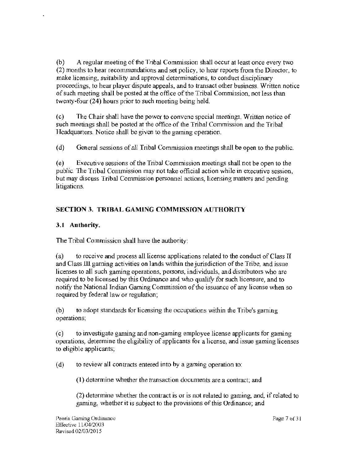(b) A regular meeting of the Tribal Commission shall occur at least once every two (2) months to hear recommendations and set policy, to hear reports from the Director, to make licensing, suitability and approval detenninations, to conduct disciplinary proceedings, to hear player dispute appeals, and to transact other business. Written notice of such meeting shall be posted at the office of the Tribal Commission, not less than twenty-four (24) hours prior to such meeting being held.

(c) The Chair shall have the power to convene special meetings. Written notice of such meetings shall be posted at the office of the Tribal Commission and the Tribal Headquarters. Notice shall be given to the gaming operation.

( d) General sessions of all Tribal Commission meetings shall be open to the public.

( e) Executive sessions of the Tribal Commission meetings shall not be open to the public. The Tribal Commission may not take official action while in executive session, but may discuss Tribal Commission personnel actions, licensing matters and pending litigations.

# SECTION 3. TRIBAL GAMING COMMISSION AUTHORITY

## 3.1 Authority.

The Tribal Commission shall have the authority:

(a) to receive and process all license applications related to the conduct of Class TI and Class Ill gaming activities on lands within the jurisdiction of the Tribe, and issue licenses to all such gaming operations, persons, individuals, and distributors who are required to be licensed by this Ordinance and who qualify for such licensure, and to notify the National Indian Gaming Conunission of the issuance of any license when so required by federal law or regulation;

(b) to adopt standards for licensing the occupations within the Tribe's gaming operations;

(c) to investigate gaming and non·gaming employee license applicants for gaming operations, determine the eligibility of applicants for a license, and issue gaming licenses to eligible applicants;

(d) to review all contracts entered into by a gaming operation to:

( l) determine whether the transaction documents are a contract; and

(2) determine whether the contract is or is not related to gaming, and, if related to gaming, whether it is subject to the provisions of this Ordinance; and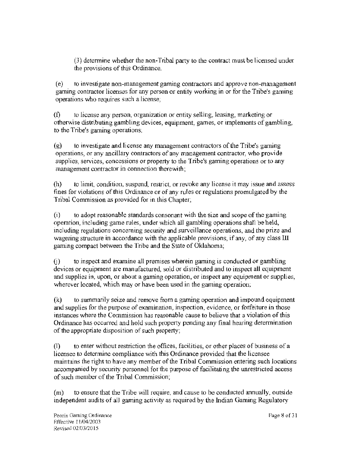(3) determine whether the non-Tribal party to the contract must be licensed under the provisions of this Ordinance.

(e) to investigate non-management gaming contractors and approve non-management gaming contractor licenses for any person or entity working in or for the Tribe's gaming operations who requires such a license;

(t) to license any person, organization or entity selling, leasing, marketing or otherwise distributing gambling devices, equipment, games, or implements of gambling, to the Tribe's gaming operations;

(g) to investigate and license any management contractors of the Tribe's gaming operations, or any ancillary contractors of any management contractor, who provide supplies, services, concessions or property to the Tribe's gaming operations or to any management contractor in connection therewith;

(h) to limit, condition, suspend, restrict, or revoke any license it may issue and assess fines for violations of this Ordinance or of any rules or regulations promulgated by the Tribal Commission as provided for in this Chapter;

(i) to adopt reasonable standards consonant with the size and scope of the gaming operation, including game rules, under which all gambling operations shall be held, including regulations concerning security and surveillance operations, and the prize and wagering structure in accordance with the applicable provisions, if any, of any class Ill gaming compact between the Tribe and the State of Oklahoma;

(j) to inspect and examine all premises wherein gaming is conducted or gambling devices or equipment are manufactured, sold or distributed and to inspect all equipment and supplies in, upon, or about a gaming operation, or inspect any equipment or supplies, wherever located, which may or have been used in the gaming operation;

(k) to summarily seize and remove from a gaming operation and impound equipment and supplies for the purpose of examination, inspection, evidence, or forfeiture in those instances where the Commission has reasonable cause to believe that a violation of this Ordinance has occurred and hold such property pending any final hearing determination of the appropriate disposition of such property;

(1) to enter without restriction the offices, facilities, or other places of business of a licensee to determine compliance with this Ordinance provided that the licensee maintains the right to have any member of the Tribal Commission entering such locations accompanied by security personnel for the purpose of facilitating the unrestricted access of such member of the Tribal Commission;

(m) to ensure that the Tribe will require, and cause to be conducted annually, outside independent audits of all gaming activity as required by the Indian Gaming Regulatory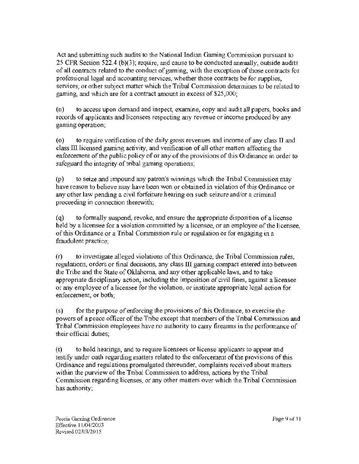Act and submitting such audits to the National Indian Gaming Commission pursuant to 25 CFR Section 522.4 (b)(3); require, and cause to be conducted annually, outside audits of all contracts related to the conduct of gaming, with the exception of those contracts for professional legal and accounting services, whether those contracts be for supplies. services, or other subject matter which the Tribal Commission determines to be related to gaming, and which are for a contract amount in excess of \$25,000;

(n) to access upon demand and inspect, examine, copy and audit all papers, books and records of applicants and licensees respecting any revenue or income produced by any gaming operation;

( $\alpha$ ) to require verification of the daily gross revenues and income of any class II and class III licensed gaming activity, and verification of all other matters affecting the enforcement of the public policy of or any of the provisions of this Ordinance in order to safeguard the integrity of tribal gaming operations;

(p) to seize and impound any patron's winnings which the Tribal Corrunission may have reason to believe may have been won or obtained in violation of this Ordinance or any other law pending a civil forfeiture hearing on such seizure and/or a criminal proceeding in connection therewith;

 $(q)$  to formally suspend, revoke, and ensure the appropriate disposition of a license held by a licensee for a violation committed by a licensee, or an employee of the licensee, of this Ordinance or a Tribal Commission rule or regulation or for engaging in a fraudulent practice;

(r) to investigate alleged violations of this Ordinance, the Tribal Corrunission rules, regulations, orders or final decisions, any class III gaming compact entered into between the Tribe and the State of Oklahoma, and any other applicable laws, and to take appropriate disciplinary action, including the imposition of civil fines, against a licensee or any employee of a licensee for the violation, or institute appropriate legal action for enforcement, or both;

(s) for the purpose of enforcing the provisions of this Ordinance, to exercise the powers of a peace officer of the Tribe except that members of the Tribal Commission and Tribal Commission employees have no authority to carry firearms in the performance of their official duties;

(t) to hold hearings, and to require licensees or license applicants to appear and testify under oath regarding matters related to the enforcement of the provisions of this Ordinance and regulations promulgated thereunder, complaints received about matters within the purview of the Tribal Commission to address, actions by the Tribal Commission regarding licenses, or any other matters over which the Tribal Commission has authority;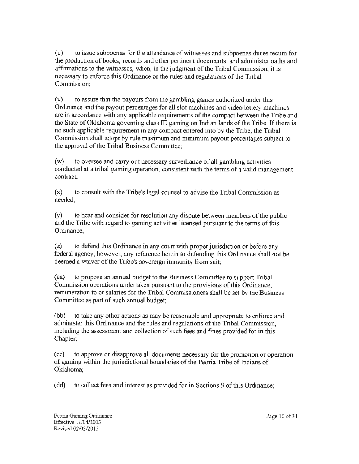(u) to issue subpoenas for the attendance of witnesses and subpoenas duces tecum for the production of books, records and other pertinent documents, and administer oaths and affirmations to the witnesses, when, in the judgment of the Tribal Commission, it is necessary to enforce this Ordinance or the rules and regulations of the Tribal Commission;

(v) to assure that the payouts from the gambling games authorized under this Ordinance and the payout percentages for all slot machines and video lottery machines are in accordance with any applicable requirements of the compact between the Tribe and the State of Oklahoma governing class  $III$  gaming on Indian lands of the Tribe. If there is no such applicable requirement in any compact entered into by the Tribe, the Tribal Commission shall adopt by rule maximum and minimum payout percentages subject to the approval of the Tribal Business Committee;

(w) to oversee and carry out necessary surveillance of all gambling activities conducted at a tribal gaming operation, consistent with the terms of a valid management contract;

 $(x)$  to consult with the Tribe's legal counsel to advise the Tribal Commission as needed;

(y) to hear and consider for resolution any dispute between members of the public and the Tribe with regard to gaming activities licensed pursuant to the terms of this Ordinance;

(z) to defend this Ordinance in any court with proper jurisdiction or before any federal agency, however, any reference herein to defending this Ordinance shall not be deemed a waiver of the Tribe's sovereign immunity from suit;

(aa) to propose an annual budget to the Business Committee to support Tribal Commission operations undertaken pursuant to the provisions of this Ordinance; remuneration to or salaries for the Tribal Commissioners shall be set by the Business Committee as part of such annual budget;

(bb) to take any other actions as may be reasonable and appropriate to enforce and administer this Ordinance and the rules and regulations of the Tribal Commission, including the assessment and collection of such fees and fines provided for in this Chapter;

(cc) to approve or disapprove all documents necessary for the promotion or operation of gaming within the jurisdictional boundaries of the Peoria Tribe of Indians of Oklahoma;

(dd) to collect fees and interest as provided for in Sections 9 of this Ordinance;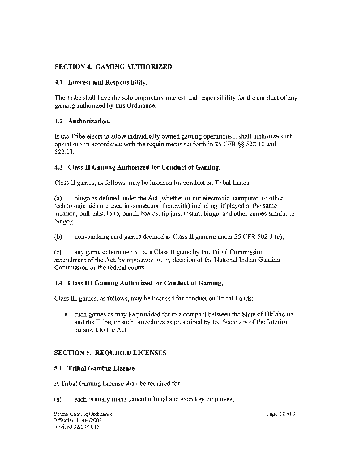## SECTION 4. GAMING AUTHORIZED

#### 4.1 Interest and Responsibility.

The Tribe shall have the sole proprietary interest and responsibility for the conduct of any gaming authorized by this Ordinance.

#### 4.2 Authorization.

If the Tribe elects to allow individually owned gaming operations it shall authorize such operations in accordance with the requirements set forth in 25 CFR §§ 522.10 and 522.11.

## 4.3 Class 11 Gaming Authorized for Conduct of Gaming.

Class II games, as follows, may be licensed for conduct on Tribal Lands:

(a) bingo as defined W1der the Act (whether or not electronic, computer, or other technologic aids are used in connection therewith) including, if played at the same location, pull-tabs, lotto, punch boards, tip jars, instant bingo, and other games similar to bingo);

(b) non-banking card games deemed as Class II gaming under 25 CFR 502.3 (c);

(c) any game determined to be a Class II game by the Tribal Commission, amendment of the Act, by regulation, or by decision of the National Indian Gaming Commission or the federal courts.

## 4.4 Class III Gaming Authorized for Conduct of Gaming,

Class Ill games, as follows, may be licensed for conduct on Tribal Lands:

• such games as may be provided for in a compact between the State of Oklahoma and the Tribe, or such procedures as prescribed by the Secretary of the Interior pursuant to the Act.

## SECTION 5. REQUIRED LICENSES

#### 5.1 Tribal Gaming License

A Tribal Gaming License shall be required for:

(a) each primary management official and each key employee;

Peoria Gaming Ordinance Effective 11/04/2003 Revised 02/03/2015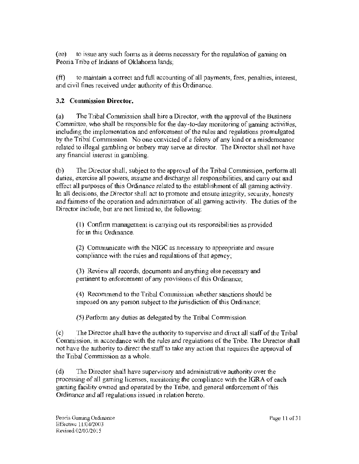(ee) to issue any such foons as it deems necessary for the regulation of gaming on Peoria Tribe of Indians of Oklahoma lands;

 $(ff)$  to maintain a correct and full accounting of all payments, fees, penalties, interest, and civil fines received under authority of this Ordinance.

## 3.2 Commission Director.

(a) The Tribal Commission shall hire a Director, with the approval of the Business Committee, who shall be responsible for the day-to-day monitoring of gaming activities, including the implementation and enforcement of the rules and regulations promulgated by the Tribal Commission. No one convicted of a felony of any kind or a misdemeanor related to illegal gambling or bribery may serve as director. The Director shall not have any financial interest in gambling.

(b) The Director shall, subject to the approval of the Tribal Commission, perform all duties, exercise all powers, assume and discharge all responsibilities, and carry out and effect all purposes of this Ordinance related to the establishment of all gaming activity. In all decisions, the Director shall act to promote and ensure integrity, security, honesty and fairness of the operation and administration of all gaming activity. The duties of the Director include, but are not limited to, the following:

( l) Confirm management is carrying out its responsibilities as provided for in this Ordinance.

(2) Corrununicate with the NIGC as necessary to appropriate and ensure compliance with the rules and regulations of that agency;

(3) Review all records, documents and anything else necessary and pertinent to enforcement of any provisions of this Ordinance;

( 4) Recommend to the Tribal Commission whether sanctions should be imposed on any person subject to the jurisdiction of this Ordinance;

(5) Perform any duties as delegated by the Tribal Commission.

(c) The Director shall have the authority to supervise and direct all staff of the Tribal Commission, in accordance with the rules and regulations of the Tribe. The Director shall not have the authority to direct the staff to take any action that requires the approval of the Tribal Commission as a whole.

(d) The Director shall have supervisory and administrative authority over the processing of all gaming licenses, monitoring the compliance with the IGRA of each gaming facility owned and operated by the Tribe, and general enforcement of this Ordinance and all regulations issued in relation hereto.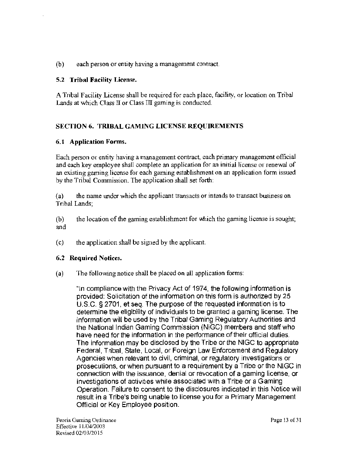(b) each person or entity having a management contract.

#### 5.2 Tribal Facility License.

A Tribal Facility License shall be required for each place, facility, or location on Tribal Lands at which Class  $II$  or Class  $III$  gaming is conducted.

## SECTION 6. TRIBAL GAMING LICENSE REQUIREMENTS

#### 6.1 Application Forms.

Each person or entity having a management contract, each primary management official and each key employee shall complete an application for an initial license or renewal of an existing gaming license for each gaming establishment on an application form issued by the Tribal Commission. The application shall set forth:

(a) the name under which the applicant transacts or intends to transact business on Tribal Lands;

(b) the location of the gaming establishment for which the gaming license is sought; and

(c) the application shall be signed by the applicant.

#### 6.2 Required Notices.

(a) The following notice shall be placed on all application forms:

"In compliance with the Privacy Act of 1974, the following information is provided: Solicitation of the information on this form is authorized by 25 U.S.C. § 2701 , et seq. The purpose of the requested information is to determine the eligibility of individuals to be granted a gaming license. The information will be used by the Tribal Gaming Regulatory Authorities and the National Indian Gaming Commission (NIGG) members and staff who have need for the information in the performance of their official duties. The information may be disclosed by the Tribe or the NIGC to appropriate Federal, Tribal, State, Local, or Foreign Law Enforcement and Regulatory Agencies when relevant to civil, criminal, or regulatory investigations or prosecutions, or when pursuant to a requirement by a Tribe or the NIGC in connection with the issuance, denial or revocation of a gaming license, or investigations of activities while associated with a Tribe or a Gaming Operation. Failure to consent to the disclosures indicated in this Notice will result in a Tribe's being unable to license you for a Primary Management Official or Key Employee position.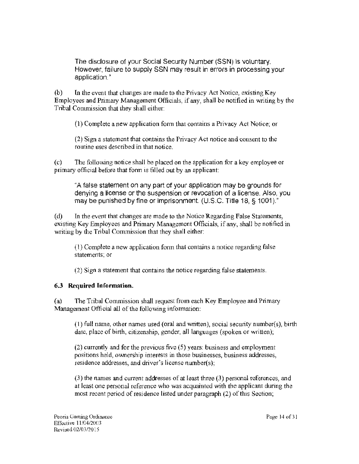The disclosure of your Social Security Number (SSN) is voluntary. However, failure to supply SSN may result in errors in processing your application."

(b) In the event that changes are made to the Privacy Act Notice, existing Key Employees and Primary Management Officials, if any, shall be notified in writing by the Tribal Commission that they shall either:

(I) Complete a new application form that contains a Privacy Act Notice; or

(2) Sign a statement that contains the Privacy Act notice and consent to the routine uses described in that notice.

(c) The following notice shall be placed on the application for a key employee or primary official before that form is filled out by an applicant:

"A false statement on any part of your application may be grounds for denying a license or the suspension or revocation of a license. Also, you may be punished by fine or imprisonment. (U.S.C. Title 18, § 1001)."

( d) In the event that changes are made to the Notice Regarding False Statements, existing Key Employees and Primary Management Officials, if any, shall be notified in writing by the Tribal Commission that they shall either:

(l) Complete a new application form that contains a notice regarding false statements; or

(2) Sign a statement that contains the notice regarding false statements.

# 6.3 Required Information.

(a) The Tribal Commission shall request from each Key Employee and Primary Management Official all of the following information:

(1) full name, other names used (oral and written), social security number(s), birth date, place of birth, citizenship, gender, all languages (spoken or written);

(2) currently and for the previous five (5) years: business and employment positions held, ovvnership interests in those businesses, business addresses, residence addresses, and driver's license nwnber(s);

(3) the names and current addresses of at least three (3) personal references, and at least one personal reference who was acquainted with the applicant during the most recent period of residence listed under paragraph (2) of this Section;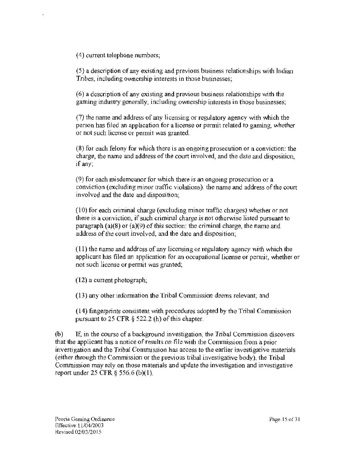( 4) current telephone numbers;

(5) a description of any existing and previous business relationships with Indian Tribes, including ownership interests in those businesses;

(6) a description of any existing and previous business relationships with the gaming industry generally, including ownership interests in those businesses;

(7) the name and address of any licensing or regulatory agency with which the person has filed an application for a license or permit related to gaming, whether or not such license or permit was granted.

(8) for each felony for which there is an ongoing prosecution or a conviction: the charge, the name and address of the court involved, and the date and disposition. if any;

(9) for each misdemeanor for which there is an ongoing prosecution or a conviction (excluding minor traffic violations): the name and address of the court involved and the date and disposition;

(10) for each criminal charge (excluding minor traffic charges) whether or not there is a conviction, if such criminal charge is not otherwise listed pursuant to paragraph (a)(8) or (a)(9) of this section: the criminal charge, the name and address of the court involved, and the date and disposition;

 $(11)$  the name and address of any licensing or regulatory agency with which the applicant has filed an application for an occupational license or pennit, whether or not such license or permit was granted;

 $(12)$  a current photograph;

(13) any other information the Tribal Commission deems relevant; and

(14) fingerprints consistent with procedures adopted by the Tribal Commission pursuant to 25 CFR § 522.2 (h) of this chapter.

(b) If, in the course of a backgrowid investigation, the Tribal Commission discovers that the applicant has a notice of results on file with the Commission from a prior investigation and the Tribal Conunission has access to the earlier investigative materials (either through the Commission or the previous tribal investigative body), the Tribal Commission may rely on those materials and update the investigation and investigative report under 25 CFR § 556.6 (b)(l).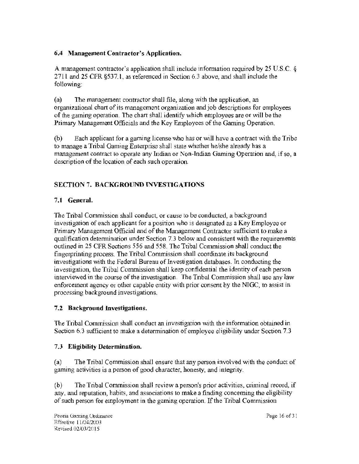## 6.4 Management Contractor's Application.

A management contractor's application shall include information required by 25 U.S.C. § 271 l and 25 CFR §537.1, as referenced in Section 6.3 above, and shall include the following:

(a) The management contractor shall file, along with the application, an organizational chart of its management organization and job descriptions for employees of the gaming operation. The chart shall identify which employees are or will be the Primary Management Officials and the Key Employees of the Gaming Operation.

(b) Each applicant for a gaming license who has or will have a contract with the Tribe to manage a Tribal Gaming Enterprise shall state whether he/she already has a management contract to operate any Indian or Non-Indian Gaming Operation and, if so, a description of the location of each such operation.

# SECTION 7. BACKGROUND INVESTIGATIONS

# 7.1 General.

The Tribal Commission shall conduct, or cause to be conducted, a background investigation of each applicant for a position who is designated as a Key Employee or Primary Management Official and of the Management Contractor sufficient to make a qualification determination under Section 7.3 below and consistent with the requirements outlined in 25 CFR Sections 556 and 558. The Tribal Commission shall conduct the fingerprinting process. The Tribal Conunission shall coordinate its background investigations with the Federal Bureau of Investigation databases. In conducting the investigation, the Tribal Commission shall keep confidential the identity of each person interviewed in the course of the investigation. The Tribal Commission shall use any law enforcement agency or other capable entity with prior consent by the NIGC, to assist in processing background investigations.

# 7 .2 Background Investigations.

The Tribal Commission shall conduct an investigation with the information obtained in Section 6.3 sufficient to make a determination of employee eligibility under Section 7.3

# 7 .3 Eligibility Determination.

(a) The Tribal Commission shall ensure that any person involved with the conduct of gaming activities is a person of good character, honesty, and integrity.

(b) The Tribal Commission shall review a person's prior activities, criminal record, if any, and reputation, habits, and associations to make a finding concerning the eligibility of such person for employment in the gaming operation. If the Tribal Commission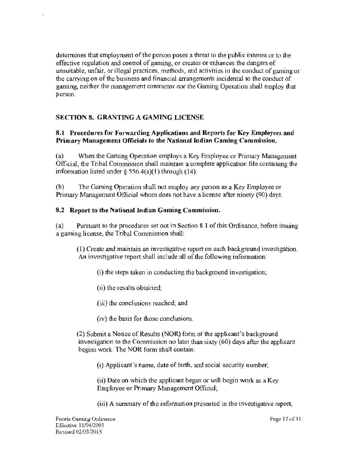determines that employment of the person poses a threat to the public interest or to the effective regulation and control of gaming, or creates or enhances the dangers of unsuitable, unfair, or illegal practices, methods, and activities in the conduct of gaming or the carrying on of the business and financial arrangements incidental to the conduct of gaming, neither the management contractor nor the Gaming Operation shall employ that person.

## SECTION 8. GRANTING A GAMING LICENSE

#### 8.1 Procedures for Forwarding Applications and Reports for Key Employees and Primary Management Officials to the National Indian Gaming Commission.

(a) When the Gaming Operation employs a Key Employee or Primary Management Official, the Tribal Commission shall maintain a complete application file containing the information listed under  $\S$  556.4(a)(1) through (14).

(b) The Gaming Operation shall not employ any person as a Key Employee or Primary Management Official whom does not have a license after ninety (90) days.

#### 8.2 Report to the National Indian Gaming Commission.

(a) Pursuant to the procedures set out in Section 8.1 of this Ordinance, before issuing a gaming license, the Tribal Commission shall:

(I) Create and maintain an investigative report on each background investigation. An investigative report shall include all of the following information:

(i) the steps taken in conducting the background investigation;

(ii) the results obtained;

(iii) the conclusions reached; and

(iv) the basis for those conclusions.

(2) Submit a Notice of Results (NOR) fonn of the applicant's background investigation to the Commission no later than sixty ( 60) days after the applicant begins work. The NOR form shall contain:

(i) Applicant's name, date of birth, and social security number;

(ii) Date on which the applicant began or will begin work as a Key Employee or Primary Management Official;

(iii) A summary of the information presented in the investigative report,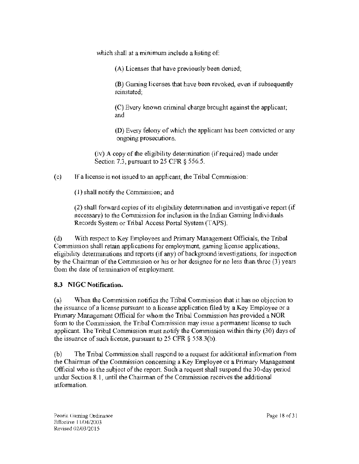which shall at a minimum include a listing of:

(A) Licenses that have previously been denied;

(B) Gaming licenses that have been revoked, even if subsequently reinstated;

(C) Every known criminal charge brought against the applicant; and

(D) Every felony of which the applicant has been convicted or any ongoing prosecutions.

(iv) A copy of the eligibility determination (if required) made under Section 7.3, pursuant to 25 CFR § 556.5.

(c) If a license is not issued to an applicant, the Tribal Commission:

(I) shall notify the Commission; and

(2) shall forward copies of its eligibility determination and investigative report (if necessary) to the Commission for inclusion in the Indian Gaming Individuals Records System or Tribal Access Portal System (TAPS).

(d) With respect to Key Employees and Primary Management Officials, the Tribal Commission shall retain applications for employment, gaming license applications, eligibility determinations and reports (if any) of background investigations, for inspection by the Chairman of the Commission or his or her designee for no less than three (3) years from the date of termination of employment.

# 8.3 NIGC Notification.

(a) When the Commission notifies the Tribal Commission that it has no objection to the issuance of a license pursuant to a license application filed by a Key Employee or a Primary Management Official for whom the Tribal Commission has provided a NOR form to the Commission, the Tribal Commission may issue a permanent license to such applicant. The Tribal Commission must notify the Commission within thirty (30) days of the issuance of such license, pursuant to  $25$  CFR  $\S$  558.3(b).

(b) The Tribal Commission shall respond to a request for additional information from the Chairman of the Commission concerning a Key Employee or a Primary Management Official who is the subject of the report. Such a request shall suspend the 30-day period under Section 8.1, until the Chairman of the Commission receives the additional information.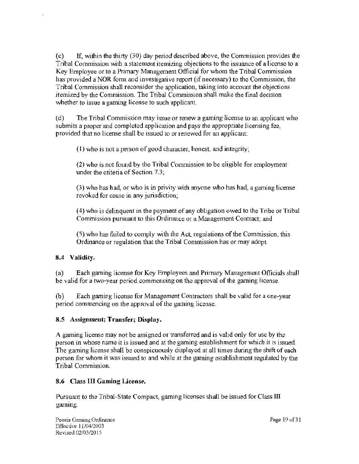(c) If, within the thirty (30) day period described above, the Commission provides the Tribal Commission with a statement itemizing objections to the issuance of a license to a Key Employee or to a Primary Management Official for whom the Tribal Commission has provided a NOR form and investigative report (if necessary) to the Commission, the Tribal Commission shall reconsider the application, taking into account the objections itemized by the Corrunission. The Tribal Commission shall make the final decision whether to issue a gaming license to such applicant.

( d) The Tribal Commission may issue or renew a gaming license to an applicant who submits a proper and completed application and pays the appropriate licensing fee, provided that no license shall be issued to or renewed for an applicant:

(I) who is not a person of good character, honest, and integrity;

 $(2)$  who is not found by the Tribal Commission to be eligible for employment under the criteria of Section 7.3;

 $(3)$  who has had, or who is in privity with anyone who has had, a gaming license revoked for cause in any jurisdiction;

(4) who is delinquent in the payment of any obligation owed to the Tribe or Tribal Commission pursuant to this Ordinance or a Management Contract; and

(5) who has failed to comply with the Act, regulations of the Commission, this Ordinance or regulation that the Tribal Commission has or may adopt.

## 8.4 Validity.

(a) Each gaming license for Key Employees and Primary Management Officials shall be valid for a two-year period commencing on the approval of the gaming license.

(b) Each gaming license for Management Contractors shall be valid for a one-year period commencing on the approval of the gaming license.

#### 8.5 Assignment; Transfer; Display.

A gaming license may not be assigned or transferred and is valid only for use by the person in whose name it is issued and at the gaming establishment for which it is issued. The gaming license shall be conspicuously displayed at all times during the shift of each person for *vmom* it was issued to and while at the gaming establishment regulated by the Tribal Commission.

#### 8.6 Class III Gaming License.

Pursuant to the Tribal-State Compact, gaming licenses shall be issued for Class III gaming.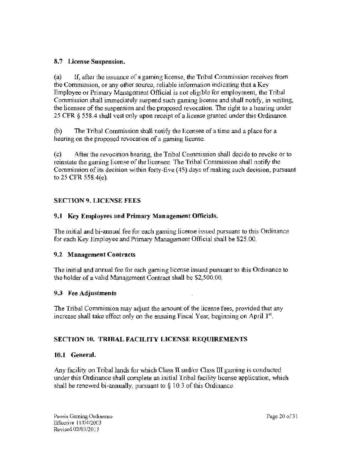#### 8.7 License Suspension.

(a) 1f, after the issuance of a gaming license, the Tribal Commission receives from the Commission, or any other source, reliable information indicating that a Key Employee or Primary Management Official is not eligible for employment, the Tribal Commission shall immediately suspend such gaming license and shall notify, in writing, the licensee of the suspension and the proposed revocation. The right to a hearing under 25 CFR § 558.4 shall vest only upon receipt of a license granted under this Ordinance.

(b) The Tribal Commission shall notify the licensee of a time and a place for a hearing on the proposed revocation of a gaming license.

(c) After the revocation hearing, ihe Tribal Commission shall decide to revoke or to reinstate the gaming license of the licensee. The Tribal Conunission shall notify the Commission of its decision within forty-five (45) days of making such decision, pursuant to 25 CFR 558.4(e).

## SECTION 9. LICENSE FEES

## 9.1 Key Employees and Primary Management Officials.

The initial and bi-annual fee for each gaming license issued pursuant to this Ordinance for each Key Employee and Primary Management Official shall be \$25 .00.

## 9.2 Management Contracts

The initial and annual fee for each gaming license issued pursuant to this Ordinance to the holder of a valid Management Contract shall be \$2,500.00.

## 9.3 Fee Adjustments

The Tribal Commission may adjust the amount of the license fees, provided that any increase shall take effect only on the ensuing Fiscal Year, beginning on April  $1<sup>st</sup>$ .

# SECTION 10. TRIBAL FACILITY LICENSE REQUIREMENTS

## 10.1 General.

Any facility on Tribal lands for which Class II and/or Class III gaming is conducted under this Ordinance shall complete an initial Tribal facility license application, which shall be renewed bi-annually, pursuant to  $\S$  10.3 of this Ordinance.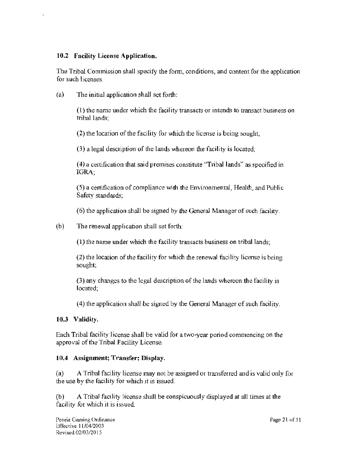#### 10.2 Facility License Application.

The Tribal Commission shall specify the fonn, conditions, and content for the application for such licenses.

(a) The initial application shall set forth:

(l) the name wider which the facility transacts or intends to transact business on tribal lands;

(2) the location of the facility for which the license is being sought;

(3) a legal description of the lands whereon the facility is located;

( 4) a certification that said premises constitute "Tribal lands" as specified in IGRA;

(5) a certification of compliance with the Environmental, Health, and Public Safety standards;

(6) the application shall be signed by the General Manager of such facility.

(b) The renewal application shall set forth:

 $(1)$  the name under which the facility transacts business on tribal lands;

(2) the location of the facility for which the renewal facility license is being sought;

(3) any changes to the legal description of the lands whereon the facility is located;

(4) the application shall be signed by the General Manager of such facility.

## 10.3 Validity.

Each Tribal facility license shall be valid for a two·year period commencing on the approval of the Tribal Facility License.

## 10.4 Assignment; Transfer; Display.

(a) A Tribal facility license may not be assigned or transferred and is valid only for the use by the facility for which it is issued.

 $(b)$  A Tribal facility license shall be conspicuously displayed at all times at the facility for which it is issued.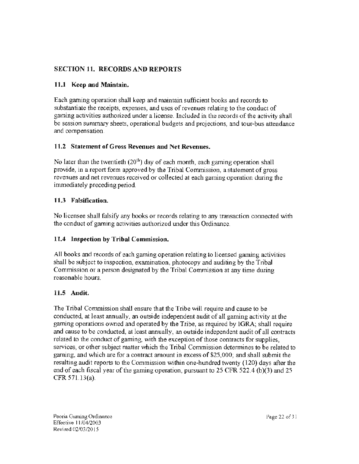# SECTION 11. RECORDS AND REPORTS

## 11.1 Keep and Maintain.

Each gaming operation shall keep and maintain sufficient books and records to substantiate the receipts, expenses, and uses of revenues relating to the conduct of gaming activities authorized under a license. Included in the records of the activity shall be session summary sheets, operational budgets and projections, and tour-bus attendance and compensation.

#### 11.2 Statement of Gross Revenues and Net Revenues.

No later than the twentieth (20<sup>th</sup>) day of each month, each gaming operation shall provide, in a report form approved by the Tribal Commission, a statement of gross revenues and net revenues received or collected at each gaming operation during the immediately preceding period.

#### 11.3 Falsification.

No licensee shall falsify any books or records relating to any transaction connected with the conduct of gaming activities authorized under this Ordinance.

## 11.4 Inspection by Tribal Commission.

All books and records of each gaming operation relating to licensed gaming activities shall be subject to inspection, examination, photocopy and auditing by the Tribal Commisston or a person designated by the Tribal Conunission at any time during reasonable hours.

## H.5 Audit.

The Tribal Conunission shall ensure that the Tribe will require and cause to be conducted, at least annually, an outside independent audit of all gaming activity at the gaming operations owned and operated by the Tribe, as required by lGRA; shall require and cause to be conducted, at least annually, an outside independent audit of all contracts related to the conduct of gaming, with the exception of those contracts for supplies, services, or other subject matter which the Tribal Commission determines to be related to gaming, and which are for a contract amount in excess of \$25,000; and shall submit the resulting audit reports to the Commission within one-hundred twenty (120) days after the end of each fiscal year of the gaming operation, pursuant to 25 CFR 522.4 (b)(3) and 25 CFR 571.13(a).

Peoria Gaming Ordinance Effective I I /04/2003 Kevised 02/03/2015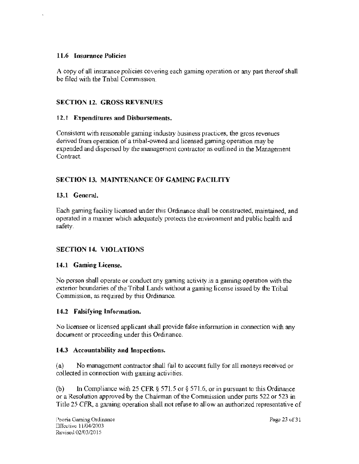#### **11.6 Insurance Policies**

A copy of all insurance policies covering each gaming operation or any part thereof shall be filed with the Tribal Commission.

## **SECTION 12. GROSS REVENUES**

#### **12.t Expenditures and Disbursements.**

Consistent with reasonable gaming industry business practices, the gross revenues derived from operation of a tribal-owned and licensed gaming operation may be expended and dispersed by the management contractor as outlined in the Management Contract

## **SECTfON 13. MAINTENANCE OF GAMING FACILITY**

#### **13.1 General.**

Each gaming facility licensed under this Ordinance shall be constructed, maintained, and operated in a manner which adequately protects the environment and public health and safety.

## **SECTION 14. VIOLATIONS**

## **14.1 Gaming License.**

No person shall operate or conduct any gaming activity in a gaming operation with the exterior boundaries of the Tribal Lands without a gaming license issued by the Tribal Commission, as required by this Ordinance.

## **14.2 Falsifying Information.**

No licensee or licensed applicant shall provide false information in connection with any document or proceeding under this Ordinance.

## **14.3 Accountability and Inspections.**

(a) No management contractor shall fail to account fully for all moneys received or collected in connection with gaming activities.

(b) In Compliance with 25 CFR § 571.5 or § 571.6, or in pursuant to this Ordinance or a Resolution approved by the Chairman of the Commission under parts 522 or 523 in Title 25 CFR, a gaming operation shall not refuse to allow an authorized representative of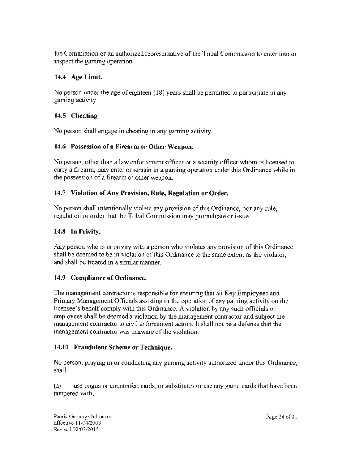the Commission or an authorized representative of the Tribal Commission to enter into or inspect the gaming operation.

#### 14.4 Age Limit.

No person under the age of eighteen (18) years shall be permitted to participate in any gaming activity.

## 14.5 Cheating

No person shall engage in cheating in any gaming activity.

#### 14.6 Possession of a Firearm or Other Weapon.

No person, other than a law enforcement officer or a security officer whom is licensed to carry a firearm, may enter or remain in a gaming operation under this Ordinance while in the possession of a firearm or other weapon.

#### 14.7 Violation of Any Provision, Rule, Regulation or Order.

No person shall intentionally violate any provision of this Ordinance, nor any rule, regulation or order that the Tribal Commission may promulgate or issue.

#### 14.8 In Privity.

Any person who is in privity with a person who violates any provision of this Ordinance shall be deemed to be in violation of this Ordinance to the same extent as the violator, and shall be treated in a similar manner.

#### 14.9 Compliance of Ordinance.

The management contractor is responsible for ensuring that ail Key Empioyees and Primary Management Officials assisting in the operation of any gaming activity on the licensee's behalf comply with this Ordinance. A violation by any such officials or employees shall be deemed a violation by the management contractor and subject the management contractor to civil enforcement action. It shall not be a defense that the management contractor was unaware of the violation.

#### 14.10 Fraudulent Scheme or Technique.

No person, playing in or conducting any gaming activity authorized wider this Ordinance, shall:

(a) use bogus or counterfeit cards, or substitutes or use any game cards that have been tampered with;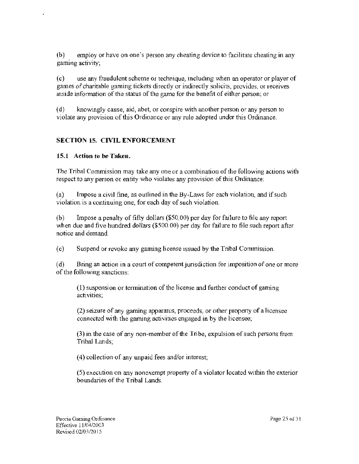(b) employ or have on one's person any cheating device to facilitate cheating in any gaming activity;

( c) use any fraudulent scheme or technique, including when an operator or player of games of charitable gaming tickets directly or indirectly solicits, provides, or receives inside information of the status of the game for the benefit of either person; or

( d) knowingly cause, aid, abet, or conspire with another person or any person to violate any provision of this Ordinance or any rule adopted tmder this Ordinance.

# **SECTION 15. CIVIL ENFORCEMENT**

## **15.1 Action to be Taken.**

The Tribal Commission may take any one or a combination of the following actions with respect to any person or entity who violates any provision of this Ordinance:

(a) Impose a civil fine, as outlined in the By-Laws for each violation, and if such violation is a continuing one, for each day of such violation.

(b) Impose a penalty of fifty dollars (\$50.00) per day for failure to file any report when due and five hundred dollars (\$500.00) per day for failure to file such report after notice and demand.

(c) Suspend or revoke any gaming license issued by the Tribal Commission.

(d) Bring an action in a court of competent jurisdiction for imposition of one or more of the following sanctions:

(1) suspension or termination of the license and further conduct of gaming activities;

(2) seizure of any gaming apparatus, proceeds, or other property of a licensee connected with the gaming activities engaged in by the licensee;

 $(3)$  in the case of any non-member of the Tribe, expulsion of such persons from Tribal Lands;

( 4) collection of any unpaid fees and/or interest;

(5) execution on any nonexempt property of a violator located within the exterior boundaries of the Tribal Lands.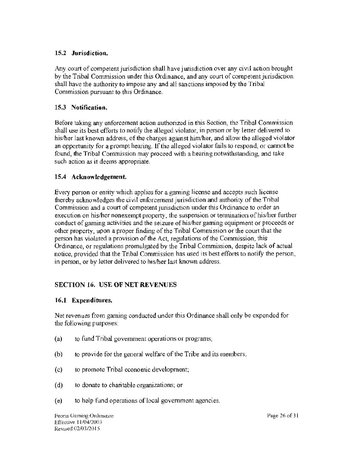#### 15.2 Jurisdiction.

Any court of competent jurisdiction shall have jurisdiction over any civil action brought by the Tribal Commission under this Ordinance, and any court of competent jurisdiction shall have the authority to impose any and all sanctions imposed by the Tribal Commission pursuant to this Ordinance.

## 15.3 Notification.

Before taking any enforcement action authorized in this Section, the Tribal Commission shall use its best efforts to notify the alleged violator, in person or by letter delivered to his/her last known address, of the charges against him/her, and allow the alleged violator an opportunity for a prompt hearing. If the alleged violator fails to respond, or cannot be found, the Tribal Commission may proceed with a hearing notwithstanding, and take such action as it deems appropriate.

## 15.4 Acknowledgement.

Every person or entity which applies for a gaming license and accepts such license thereby acknowledges the civil enforcement jurisdiction and authority of the Tribal Commission and a court of competent jurisdiction under this Ordinance to order an execution on his/her nonexempt property, the suspension or termination of his/her further conduct of gaming activities and the seizure of his/her gaming equipment or proceeds or other property, upon a proper finding of the Tribal Commission or the court that the person has violated a provision of the Act, regulations of the Commission, this Ordinance, or regulations promulgated by the Tribal Commission, despite lack of actual notice, provided that the Tribal Commission has used its best efforts to notify the person, in person, or by letter delivered to his/her last known address.

# SECTION 16. USE OF NET REVENUES

## 16.I Expenditures.

Net revenues from gaming conducted under this Ordinance shall only be expended for the following purposes:

- $(a)$  to fund Tribal government operations or programs;
- (b) to provide for the general welfare of the Tribe and its members;
- (c) to promote Tribal economic development;
- ( d) to donate to charitable organizations; or
- (e) to help fund operations of local government agencies.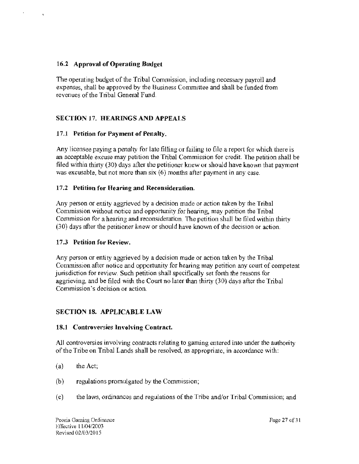#### **16.2 Approval of Operating Budget**

The operating budget of the Tribal Commission, including necessary payroll and expenses, shall be approved by the Business Conunittee and shall be funded from revenues of the Tribal General Fund.

## **SECTION** 17. **HEARINGS AND APPEALS**

#### **17 .1 Petition for Payment of Penalty.**

Any licensee paying a penalty for late filling or failing to file a report for which there is an acceptable excuse may petition the Tribal Commission for credit. The petition shall be filed within thirty (30) days after the petitioner knew or should have known that payment was excusable, but not more than six (6) months after payment in any case.

#### **17 .2 Petition for Hearing and Reconsideration.**

Any person or entity aggrieved by a decision made or action taken by the Tribal Commission without notice and opportunity for hearing, may petition the Tribal Commission for a hearing and reconsideration. The petition shall be filed within thirty (30) days after the petitioner knew or should have known of the decision or action.

#### **17 .3 Petition fol' Review.**

Any person or entity aggrieved by a decision made or action taken by the Tribal Commission after notice and opportunity for hearing may petition any court of competent jurisdiction for review. Such petition shall specifically set forth the reasons for aggrieving, and be filed with the Court no later than thirty (30) days after the Tribal Commission's decision or action.

## **SECTION 18. APPLICABLE LAW**

#### **18.l Controversies Involving Contract.**

All controversies involving contracts relating to gaming entered into under the authority of the Tribe on Tribal Lands shall be resolved, as appropriate, in accordance with:

- (a) the Act;
- (b) regulations promulgated by the Commission;
- (c) the laws, ordinances and regulations of the Tribe and/or Tribal Commission; and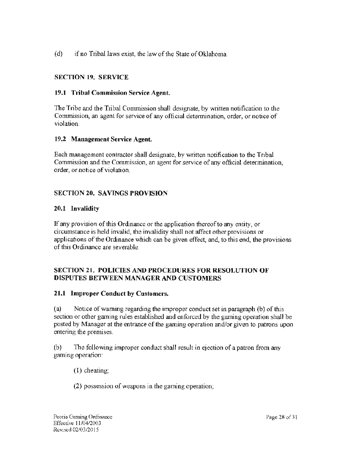( d) if no Tribal laws exist, the law of the State of Oklahoma.

# SECTION 19. SERVICE

#### 19.1 Tribal Commission Service Agent.

The Tribe and the Tribal Commission shall designate, by written notification to the Commission, an agent for service of any official determination, order, or notice of violation.

## 19.2 Management Service Agent.

Each management contractor shall designate, by written notification to the Tribal Commission and the Commission, an agent for service of any official determination, order, or notice of violation.

## SECTION 20. SAVINGS PROVISION

## 20.1 Invalidity

If any provision of this Ordinance or the application thereof to any entity, or circumstance is held invalid, the invalidity shall not affect other provisions or applications of the Ordinance which can be given effect, and, to this end, the provisions of this Ordinance are severable.

#### SECTION 21. POLICIES AND PROCEDURES FOR RESOLUTION OF DISPUTES BETWEEN MANAGER AND CUSTOMERS

## 21.1 Improper Conduct by Customers.

(a) Notice of warning regarding the improper conduct set in paragraph (b) of this section or other gaming rules established and enforced by the gaming operation shall be posted by Manager at the entrance of the gaming operation and/or given to patrons upon entering the premises.

(b) The following improper conduct shall result in ejection of a patron from any gaming operation:

(I) cheating;

(2) possession of weapons in the gaming operation;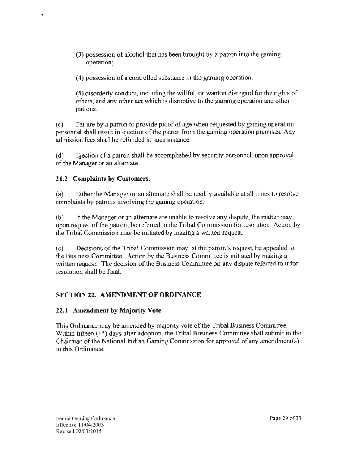(3) possession of alcohol that has been brought by a patron into the gaming operation;

( 4) possession of a controlled substance in the gaming operation~

(5) disorderly conduct, including the witlful, or wanton disregard for the rights of others, and any other act which is disruptive to the gaming operation and other patrons.

(c) Failure by a patron to provide proof of age when requested by gaming operation personnel shall result in ejection of the patron from the gaming operation premises. Any admission fees shall be refunded in such instance.

(d) Ejection of a patron shall be accomplished by security personnel, upon approval of the Manager or an alternate.

# 21.2 Complaints by Customers.

(a) Either the Manager or an alternate shall be readily available at all times to resolve complaints by patrons involving the gaming operation.

(b) If the Manager or an alternate are unable to resolve any dispute, the matter may, upon request of the patron, be referred to the Tribal Commission for resolution. Action by the Tribal Commission may be initiated by making a written request.

(c) Decisions of the Tribal Commission may, at the patron's request, be appealed to the Business Committee. Action by the Business Committee is initiated by making a written request. The decision of the Business Conunittee on any dispute referred to it for resolution shall be final.

# SECTION 22. AMENDMENT OF ORDINANCE

# 22.1 Amendment by Majority Vote

This Ordinance may be amended by majority vote of the Tribal Business Committee. Within fifteen ( 15) days after adoption, the Tribal Business Committee shall submit to the Chairman of the National Indian Gaming Commission for approval of any amendment(s) to this Ordinance.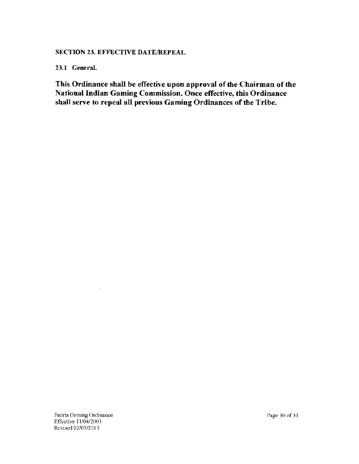## SECTION 23. EFFECTIVE DATE/REPEAL

23.1 General.

This Ordinance shall be effective upon approval of the Chairman of the National Indian Gaming Commission. Once effective, this Ordinance shall serve to repeal all previous Gaming Ordinances of the Tribe.

 $\overline{a}$